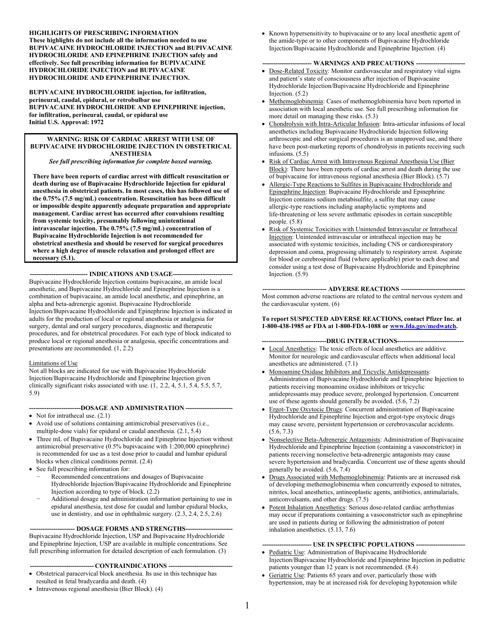**HIGHLIGHTS OF PRESCRIBING INFORMATION These highlights do not include all the information needed to use BUPIVACAINE HYDROCHLORIDE INJECTION and BUPIVACAINE HYDROCHLORIDE AND EPINEPHRINE INJECTION safely and effectively. See full prescribing information for BUPIVACAINE HYDROCHLORIDE INJECTION and BUPIVACAINE HYDROCHLORIDE AND EPINEPHRINE INJECTION.**

**BUPIVACAINE HYDROCHLORIDE injection, for infiltration, perineural, caudal, epidural, or retrobulbar use BUPIVACAINE HYDROCHLORIDE AND EPINEPHRINE injection, for infiltration, perineural, caudal, or epidural use Initial U.S. Approval: 1972**

#### **WARNING: RISK OF CARDIAC ARREST WITH USE OF BUPIVACAINE HYDROCHLORIDE INJECTION IN OBSTETRICAL ANESTHESIA**

*See full prescribing information for complete boxed warning.*

**There have been reports of cardiac arrest with difficult resuscitation or death during use of Bupivacaine Hydrochloride Injection for epidural anesthesia in obstetrical patients. In most cases, this has followed use of the 0.75% (7.5 mg/mL) concentration. Resuscitation has been difficult or impossible despite apparently adequate preparation and appropriate management. Cardiac arrest has occurred after convulsions resulting from systemic toxicity, presumably following unintentional intravascular injection. The 0.75% (7.5 mg/mL) concentration of Bupivacaine Hydrochloride Injection is not recommended for obstetrical anesthesia and should be reserved for surgical procedures where a high degree of muscle relaxation and prolonged effect are necessary (5.1).**

--- **INDICATIONS AND USAGE--**

Bupivacaine Hydrochloride Injection contains bupivacaine, an amide local anesthetic, and Bupivacaine Hydrochloride and Epinephrine Injection is a combination of bupivacaine, an amide local anesthetic, and epinephrine, an alpha and beta-adrenergic agonist. Bupivacaine Hydrochloride Injection/Bupivacaine Hydrochloride and Epinephrine Injection is indicated in adults for the production of local or regional anesthesia or analgesia for surgery, dental and oral surgery procedures, diagnostic and therapeutic procedures, and for obstetrical procedures. For each type of block indicated to produce local or regional anesthesia or analgesia, specific concentrations and presentations are recommended. (1, 2.2)

#### Limitations of Use

Not all blocks are indicated for use with Bupivacaine Hydrochloride Injection/Bupivacaine Hydrochloride and Epinephrine Injection given clinically significant risks associated with use. (1, 2.2, 4, 5.1, 5.4, 5.5, 5.7, 5.9)

#### **------------------------DOSAGE AND ADMINISTRATION ----------------------**

- Not for intrathecal use.  $(2.1)$
- Avoid use of solutions containing antimicrobial preservatives (i.e., multiple-dose vials) for epidural or caudal anesthesia. (2.1, 5.4)
- Three mL of Bupivacaine Hydrochloride and Epinephrine Injection without antimicrobial preservative (0.5% bupivacaine with 1:200,000 epinephrine) is recommended for use as a test dose prior to caudal and lumbar epidural blocks when clinical conditions permit. (2.4)
- See full prescribing information for:
	- Recommended concentrations and dosages of Bupivacaine Hydrochloride Injection/Bupivacaine Hydrochloride and Epinephrine Injection according to type of block. (2.2)
	- − Additional dosage and administration information pertaining to use in epidural anesthesia, test dose for caudal and lumbar epidural blocks, use in dentistry, and use in ophthalmic surgery. (2.3, 2.4, 2.5, 2.6)

#### -- **DOSAGE FORMS AND STRENGTHS--**

Bupivacaine Hydrochloride Injection, USP and Bupivacaine Hydrochloride and Epinephrine Injection, USP are available in multiple concentrations. See full prescribing information for detailed description of each formulation. (3)

#### $-$  **CONTRAINDICATIONS**  $-$

- Obstetrical paracervical block anesthesia. Its use in this technique has resulted in fetal bradycardia and death. (4)
- Intravenous regional anesthesia (Bier Block). (4)

• Known hypersensitivity to bupivacaine or to any local anesthetic agent of the amide-type or to other components of Bupivacaine Hydrochloride Injection/Bupivacaine Hydrochloride and Epinephrine Injection. (4)

#### -- WARNINGS AND PRECAUTIONS --

- Dose-Related Toxicity: Monitor cardiovascular and respiratory vital signs and patient's state of consciousness after injection of Bupivacaine Hydrochloride Injection/Bupivacaine Hydrochloride and Epinephrine Injection. (5.2)
- Methemoglobinemia: Cases of methemoglobinemia have been reported in association with local anesthetic use. See full prescribing information for more detail on managing these risks. (5.3)
- Chondrolysis with Intra-Articular Infusion: Intra-articular infusions of local anesthetics including Bupivacaine Hydrochloride Injection following arthroscopic and other surgical procedures is an unapproved use, and there have been post-marketing reports of chondrolysis in patients receiving such infusions. (5.5)
- Risk of Cardiac Arrest with Intravenous Regional Anesthesia Use (Bier Block): There have been reports of cardiac arrest and death during the use of bupivacaine for intravenous regional anesthesia (Bier Block). (5.7)
- Allergic-Type Reactions to Sulfites in Bupivacaine Hydrochloride and Epinephrine Injection: Bupivacaine Hydrochloride and Epinephrine Injection contains sodium metabisulfite, a sulfite that may cause allergic-type reactions including anaphylactic symptoms and life-threatening or less severe asthmatic episodes in certain susceptible people. (5.8)
- Risk of Systemic Toxicities with Unintended Intravascular or Intrathecal Injection: Unintended intravascular or intrathecal injection may be associated with systemic toxicities, including CNS or cardiorespiratory depression and coma, progressing ultimately to respiratory arrest. Aspirate for blood or cerebrospinal fluid (where applicable) prior to each dose and consider using a test dose of Bupivacaine Hydrochloride and Epinephrine Injection.  $(5.9)$

#### **------------------------------ ADVERSE REACTIONS ------------------------------**

Most common adverse reactions are related to the central nervous system and the cardiovascular system. (6)

#### **To report SUSPECTED ADVERSE REACTIONS, contact Pfizer Inc. at 1-800-438-1985 or FDA at 1-800-FDA-1088 or [www.fda.gov/medwatch](http://www.fda.gov/medwatch).**

#### --DRUG INTERACTIONS---

- Local Anesthetics: The toxic effects of local anesthetics are additive. Monitor for neurologic and cardiovascular effects when additional local anesthetics are administered. (7.1)
- Monoamine Oxidase Inhibitors and Tricyclic Antidepressants: Administration of Bupivacaine Hydrochloride and Epinephrine Injection to patients receiving monoamine oxidase inhibitors or tricyclic antidepressants may produce severe, prolonged hypertension. Concurrent use of these agents should generally be avoided. (5.6, 7.2)
- Ergot-Type Oxytocic Drugs: Concurrent administration of Bupivacaine Hydrochloride and Epinephrine Injection and ergot-type oxytocic drugs may cause severe, persistent hypertension or cerebrovascular accidents. (5.6, 7.3)
- Nonselective Beta-Adrenergic Antagonists: Administration of Bupivacaine Hydrochloride and Epinephrine Injection (containing a vasoconstrictor) in patients receiving nonselective beta-adrenergic antagonists may cause severe hypertension and bradycardia. Concurrent use of these agents should generally be avoided. (5.6, 7.4)
- Drugs Associated with Methemoglobinemia: Patients are at increased risk of developing methemoglobinemia when concurrently exposed to nitrates, nitrites, local anesthetics, antineoplastic agents, antibiotics, antimalarials, anticonvulsants, and other drugs. (7.5)
- Potent Inhalation Anesthetics: Serious dose-related cardiac arrhythmias may occur if preparations containing a vasoconstrictor such as epinephrine are used in patients during or following the administration of potent inhalation anesthetics. (5.13, 7.6)

#### **--- USE IN SPECIFIC POPULATIONS -**

- Pediatric Use: Administration of Bupivacaine Hydrochloride Injection/Bupivacaine Hydrochloride and Epinephrine Injection in pediatric patients younger than 12 years is not recommended. (8.4)
- Geriatric Use: Patients 65 years and over, particularly those with hypertension, may be at increased risk for developing hypotension while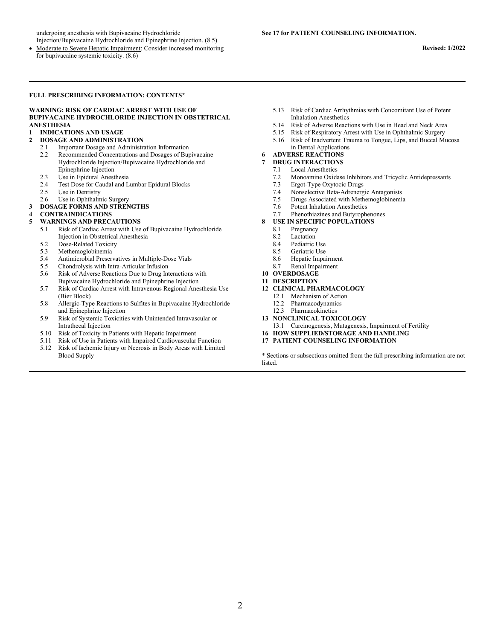undergoing anesthesia with Bupivacaine Hydrochloride Injection/Bupivacaine Hydrochloride and Epinephrine Injection. (8.5)

#### **FULL PRESCRIBING INFORMATION: CONTENTS\***

#### **WARNING: RISK OF CARDIAC ARREST WITH USE OF BUPIVACAINE HYDROCHLORIDE INJECTION IN OBSTETRICAL ANESTHESIA**

#### **1 INDICATIONS AND USAGE**

#### **2 DOSAGE AND ADMINISTRATION**

- 2.1 Important Dosage and Administration Information
- 2.2 Recommended Concentrations and Dosages of Bupivacaine Hydrochloride Injection/Bupivacaine Hydrochloride and Epinephrine Injection
- 2.3 Use in Epidural Anesthesia
- 2.4 Test Dose for Caudal and Lumbar Epidural Blocks<br>2.5 Use in Dentistry
- Use in Dentistry
- 2.6 Use in Ophthalmic Surgery
- **3 DOSAGE FORMS AND STRENGTHS**

# **4 CONTRAINDICATIONS**

#### **5 WARNINGS AND PRECAUTIONS**

- 5.1 Risk of Cardiac Arrest with Use of Bupivacaine Hydrochloride Injection in Obstetrical Anesthesia
- 5.2 Dose-Related Toxicity
- 5.3 Methemoglobinemia
- 5.4 Antimicrobial Preservatives in Multiple-Dose Vials
- 5.5 Chondrolysis with Intra-Articular Infusion<br>5.6 Risk of Adverse Reactions Due to Drug Int
- 5.6 Risk of Adverse Reactions Due to Drug Interactions with Bupivacaine Hydrochloride and Epinephrine Injection
- 5.7 Risk of Cardiac Arrest with Intravenous Regional Anesthesia Use (Bier Block)
- 5.8 Allergic-Type Reactions to Sulfites in Bupivacaine Hydrochloride and Epinephrine Injection
- 5.9 Risk of Systemic Toxicities with Unintended Intravascular or Intrathecal Injection
- 5.10 Risk of Toxicity in Patients with Hepatic Impairment
- 5.11 Risk of Use in Patients with Impaired Cardiovascular Function
- 5.12 Risk of Ischemic Injury or Necrosis in Body Areas with Limited Blood Supply
- 5.13 Risk of Cardiac Arrhythmias with Concomitant Use of Potent Inhalation Anesthetics
- 5.14 Risk of Adverse Reactions with Use in Head and Neck Area<br>5.15 Risk of Respiratory Arrest with Use in Ophthalmic Surgery
- 5.15 Risk of Respiratory Arrest with Use in Ophthalmic Surgery
- 5.16 Risk of Inadvertent Trauma to Tongue, Lips, and Buccal Mucosa in Dental Applications

#### **6 ADVERSE REACTIONS**

- **7 DRUG INTERACTIONS**
	- 7.1 Local Anesthetics
	- 7.2 Monoamine Oxidase Inhibitors and Tricyclic Antidepressants
	- 7.3 Ergot-Type Oxytocic Drugs<br>7.4 Nonselective Beta-Adrenerg
	- 7.4 Nonselective Beta-Adrenergic Antagonists<br>7.5 Drugs Associated with Methemoglobinemia
	- Drugs Associated with Methemoglobinemia
	- 7.6 Potent Inhalation Anesthetics
	- 7.7 Phenothiazines and Butyrophenones
- **8 USE IN SPECIFIC POPULATIONS**
	- 8.1 Pregnancy
	-
	- 8.2 Lactation<br>8.4 Pediatric Pediatric Use
	- 8.5 Geriatric Use
	- 8.6 Hepatic Impairment
	- 8.7 Renal Impairment
- **10 OVERDOSAGE**
- **11 DESCRIPTION**
- **12 CLINICAL PHARMACOLOGY**
	- 12.1 Mechanism of Action<br>12.2 Pharmacodynamics
	- Pharmacodynamics
	- 12.3 Pharmacokinetics
- **13 NONCLINICAL TOXICOLOGY**
- 13.1 Carcinogenesis, Mutagenesis, Impairment of Fertility
- **16 HOW SUPPLIED/STORAGE AND HANDLING**
- **17 PATIENT COUNSELING INFORMATION**

\* Sections or subsections omitted from the full prescribing information are not listed.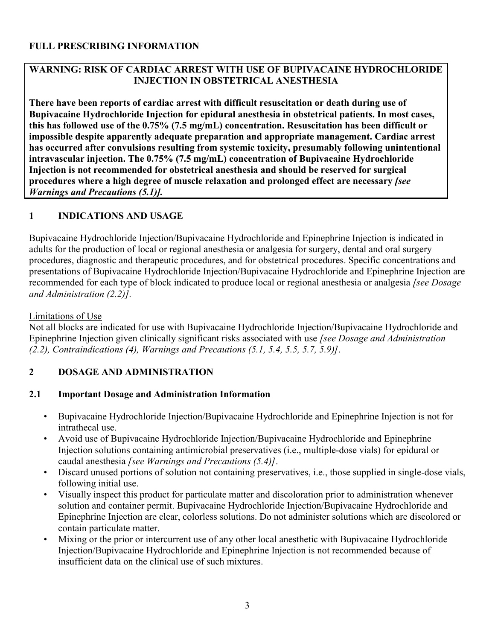## **WARNING: RISK OF CARDIAC ARREST WITH USE OF BUPIVACAINE HYDROCHLORIDE INJECTION IN OBSTETRICAL ANESTHESIA**

**There have been reports of cardiac arrest with difficult resuscitation or death during use of Bupivacaine Hydrochloride Injection for epidural anesthesia in obstetrical patients. In most cases, this has followed use of the 0.75% (7.5 mg/mL) concentration. Resuscitation has been difficult or impossible despite apparently adequate preparation and appropriate management. Cardiac arrest has occurred after convulsions resulting from systemic toxicity, presumably following unintentional intravascular injection. The 0.75% (7.5 mg/mL) concentration of Bupivacaine Hydrochloride Injection is not recommended for obstetrical anesthesia and should be reserved for surgical procedures where a high degree of muscle relaxation and prolonged effect are necessary** *[see Warnings and Precautions (5.1)].*

## **1 INDICATIONS AND USAGE**

Bupivacaine Hydrochloride Injection/Bupivacaine Hydrochloride and Epinephrine Injection is indicated in adults for the production of local or regional anesthesia or analgesia for surgery, dental and oral surgery procedures, diagnostic and therapeutic procedures, and for obstetrical procedures. Specific concentrations and presentations of Bupivacaine Hydrochloride Injection/Bupivacaine Hydrochloride and Epinephrine Injection are recommended for each type of block indicated to produce local or regional anesthesia or analgesia *[see Dosage and Administration (2.2)].*

#### Limitations of Use

Not all blocks are indicated for use with Bupivacaine Hydrochloride Injection/Bupivacaine Hydrochloride and Epinephrine Injection given clinically significant risks associated with use *[see Dosage and Administration (2.2), Contraindications (4), Warnings and Precautions (5.1, 5.4, 5.5, 5.7, 5.9)]*.

### **2 DOSAGE AND ADMINISTRATION**

### **2.1 Important Dosage and Administration Information**

- Bupivacaine Hydrochloride Injection/Bupivacaine Hydrochloride and Epinephrine Injection is not for intrathecal use.
- Avoid use of Bupivacaine Hydrochloride Injection/Bupivacaine Hydrochloride and Epinephrine Injection solutions containing antimicrobial preservatives (i.e., multiple-dose vials) for epidural or caudal anesthesia *[see Warnings and Precautions (5.4)]*.
- Discard unused portions of solution not containing preservatives, i.e., those supplied in single-dose vials, following initial use.
- Visually inspect this product for particulate matter and discoloration prior to administration whenever solution and container permit. Bupivacaine Hydrochloride Injection/Bupivacaine Hydrochloride and Epinephrine Injection are clear, colorless solutions. Do not administer solutions which are discolored or contain particulate matter.
- Mixing or the prior or intercurrent use of any other local anesthetic with Bupivacaine Hydrochloride Injection/Bupivacaine Hydrochloride and Epinephrine Injection is not recommended because of insufficient data on the clinical use of such mixtures.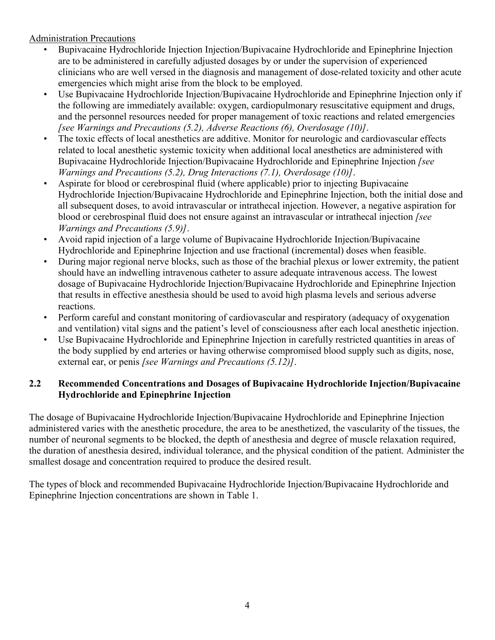Administration Precautions

- Bupivacaine Hydrochloride Injection Injection/Bupivacaine Hydrochloride and Epinephrine Injection are to be administered in carefully adjusted dosages by or under the supervision of experienced clinicians who are well versed in the diagnosis and management of dose-related toxicity and other acute emergencies which might arise from the block to be employed.
- Use Bupivacaine Hydrochloride Injection/Bupivacaine Hydrochloride and Epinephrine Injection only if the following are immediately available: oxygen, cardiopulmonary resuscitative equipment and drugs, and the personnel resources needed for proper management of toxic reactions and related emergencies *[see Warnings and Precautions (5.2), Adverse Reactions (6), Overdosage (10)]*.
- The toxic effects of local anesthetics are additive. Monitor for neurologic and cardiovascular effects related to local anesthetic systemic toxicity when additional local anesthetics are administered with Bupivacaine Hydrochloride Injection/Bupivacaine Hydrochloride and Epinephrine Injection *[see Warnings and Precautions (5.2), Drug Interactions (7.1), Overdosage (10)]*.
- Aspirate for blood or cerebrospinal fluid (where applicable) prior to injecting Bupivacaine Hydrochloride Injection/Bupivacaine Hydrochloride and Epinephrine Injection, both the initial dose and all subsequent doses, to avoid intravascular or intrathecal injection. However, a negative aspiration for blood or cerebrospinal fluid does not ensure against an intravascular or intrathecal injection *[see Warnings and Precautions (5.9)]*.
- Avoid rapid injection of a large volume of Bupivacaine Hydrochloride Injection/Bupivacaine Hydrochloride and Epinephrine Injection and use fractional (incremental) doses when feasible.
- During major regional nerve blocks, such as those of the brachial plexus or lower extremity, the patient should have an indwelling intravenous catheter to assure adequate intravenous access. The lowest dosage of Bupivacaine Hydrochloride Injection/Bupivacaine Hydrochloride and Epinephrine Injection that results in effective anesthesia should be used to avoid high plasma levels and serious adverse reactions.
- Perform careful and constant monitoring of cardiovascular and respiratory (adequacy of oxygenation and ventilation) vital signs and the patient's level of consciousness after each local anesthetic injection.
- Use Bupivacaine Hydrochloride and Epinephrine Injection in carefully restricted quantities in areas of the body supplied by end arteries or having otherwise compromised blood supply such as digits, nose, external ear, or penis *[see Warnings and Precautions (5.12)]*.

## **2.2 Recommended Concentrations and Dosages of Bupivacaine Hydrochloride Injection/Bupivacaine Hydrochloride and Epinephrine Injection**

The dosage of Bupivacaine Hydrochloride Injection/Bupivacaine Hydrochloride and Epinephrine Injection administered varies with the anesthetic procedure, the area to be anesthetized, the vascularity of the tissues, the number of neuronal segments to be blocked, the depth of anesthesia and degree of muscle relaxation required, the duration of anesthesia desired, individual tolerance, and the physical condition of the patient. Administer the smallest dosage and concentration required to produce the desired result.

The types of block and recommended Bupivacaine Hydrochloride Injection/Bupivacaine Hydrochloride and Epinephrine Injection concentrations are shown in Table 1.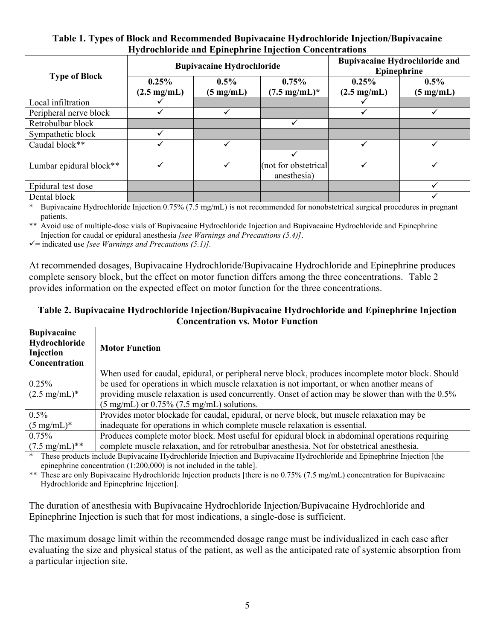#### **Table 1. Types of Block and Recommended Bupivacaine Hydrochloride Injection/Bupivacaine Hydrochloride and Epinephrine Injection Concentrations**

|                         | <b>Bupivacaine Hydrochloride</b> |                                |                                     | <b>Bupivacaine Hydrochloride and</b><br>Epinephrine |                                |
|-------------------------|----------------------------------|--------------------------------|-------------------------------------|-----------------------------------------------------|--------------------------------|
| <b>Type of Block</b>    | 0.25%<br>$(2.5 \text{ mg/mL})$   | $0.5\%$<br>$(5 \text{ mg/mL})$ | 0.75%<br>$(7.5 \text{ mg/mL})^*$    | 0.25%<br>$(2.5 \text{ mg/mL})$                      | $0.5\%$<br>$(5 \text{ mg/mL})$ |
| Local infiltration      |                                  |                                |                                     |                                                     |                                |
| Peripheral nerve block  |                                  |                                |                                     |                                                     |                                |
| Retrobulbar block       |                                  |                                |                                     |                                                     |                                |
| Sympathetic block       | ✓                                |                                |                                     |                                                     |                                |
| Caudal block**          |                                  |                                |                                     |                                                     |                                |
| Lumbar epidural block** | ✓                                | $\checkmark$                   | (not for obstetrical<br>anesthesia) | ✓                                                   | ✓                              |
| Epidural test dose      |                                  |                                |                                     |                                                     |                                |
| Dental block            |                                  |                                |                                     |                                                     |                                |

Bupivacaine Hydrochloride Injection 0.75% (7.5 mg/mL) is not recommended for nonobstetrical surgical procedures in pregnant patients.

\*\* Avoid use of multiple-dose vials of Bupivacaine Hydrochloride Injection and Bupivacaine Hydrochloride and Epinephrine Injection for caudal or epidural anesthesia *[see Warnings and Precautions (5.4)]*.

 $\checkmark$  = indicated use *[see Warnings and Precautions (5.1)]*.

At recommended dosages, Bupivacaine Hydrochloride/Bupivacaine Hydrochloride and Epinephrine produces complete sensory block, but the effect on motor function differs among the three concentrations. Table 2 provides information on the expected effect on motor function for the three concentrations.

#### **Table 2. Bupivacaine Hydrochloride Injection/Bupivacaine Hydrochloride and Epinephrine Injection Concentration vs. Motor Function**

| <b>Bupivacaine</b><br>Hydrochloride<br>Injection<br>Concentration | <b>Motor Function</b>                                                                                                                                                                              |
|-------------------------------------------------------------------|----------------------------------------------------------------------------------------------------------------------------------------------------------------------------------------------------|
| 0.25%                                                             | When used for caudal, epidural, or peripheral nerve block, produces incomplete motor block. Should<br>be used for operations in which muscle relaxation is not important, or when another means of |
| $(2.5 \text{ mg/mL})^*$                                           | providing muscle relaxation is used concurrently. Onset of action may be slower than with the 0.5%                                                                                                 |
|                                                                   | $(5 \text{ mg/mL})$ or 0.75% (7.5 mg/mL) solutions.                                                                                                                                                |
| $0.5\%$                                                           | Provides motor blockade for caudal, epidural, or nerve block, but muscle relaxation may be                                                                                                         |
| $(5 \text{ mg/mL})^*$                                             | inadequate for operations in which complete muscle relaxation is essential.                                                                                                                        |
| 0.75%                                                             | Produces complete motor block. Most useful for epidural block in abdominal operations requiring                                                                                                    |
| $(7.5 \text{ mg/mL})$ **                                          | complete muscle relaxation, and for retrobulbar anesthesia. Not for obstetrical anesthesia.                                                                                                        |

These products include Bupivacaine Hydrochloride Injection and Bupivacaine Hydrochloride and Epinephrine Injection [the epinephrine concentration (1:200,000) is not included in the table].

\*\* These are only Bupivacaine Hydrochloride Injection products [there is no 0.75% (7.5 mg/mL) concentration for Bupivacaine Hydrochloride and Epinephrine Injection].

The duration of anesthesia with Bupivacaine Hydrochloride Injection/Bupivacaine Hydrochloride and Epinephrine Injection is such that for most indications, a single-dose is sufficient.

The maximum dosage limit within the recommended dosage range must be individualized in each case after evaluating the size and physical status of the patient, as well as the anticipated rate of systemic absorption from a particular injection site.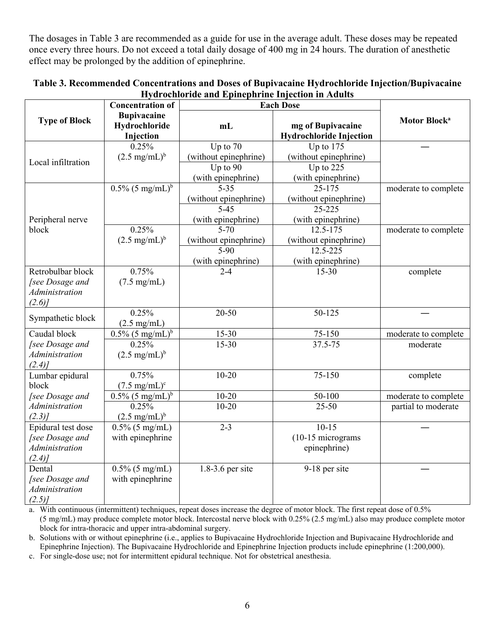The dosages in Table 3 are recommended as a guide for use in the average adult. These doses may be repeated once every three hours. Do not exceed a total daily dosage of 400 mg in 24 hours. The duration of anesthetic effect may be prolonged by the addition of epinephrine.

|                      | <b>Concentration of</b>                          | <b>Each Dose</b>      |                                              |                          |
|----------------------|--------------------------------------------------|-----------------------|----------------------------------------------|--------------------------|
| <b>Type of Block</b> | <b>Bupivacaine</b><br>Hydrochloride<br>Injection | mL                    | mg of Bupivacaine<br>Hydrochloride Injection | Motor Block <sup>a</sup> |
|                      | 0.25%                                            | Up to $70$            | Up to $175$                                  |                          |
| Local infiltration   | $(2.5 \text{ mg/mL})^b$                          | (without epinephrine) | (without epinephrine)                        |                          |
|                      |                                                  | Up to $90$            | Up to $225$                                  |                          |
|                      |                                                  | (with epinephrine)    | (with epinephrine)                           |                          |
|                      | $0.5\%$ (5 mg/mL) <sup>b</sup>                   | $5 - 35$              | $25 - 175$                                   | moderate to complete     |
|                      |                                                  | (without epinephrine) | (without epinephrine)                        |                          |
|                      |                                                  | $5 - 45$              | 25-225                                       |                          |
| Peripheral nerve     |                                                  | (with epinephrine)    | (with epinephrine)                           |                          |
| block                | 0.25%                                            | $5 - 70$              | 12.5-175                                     | moderate to complete     |
|                      | $(2.5 \text{ mg/mL})^b$                          | (without epinephrine) | (without epinephrine)                        |                          |
|                      |                                                  | $5 - 90$              | 12.5-225                                     |                          |
|                      |                                                  | (with epinephrine)    | (with epinephrine)                           |                          |
| Retrobulbar block    | 0.75%                                            | $2 - 4$               | $15 - 30$                                    | complete                 |
| [see Dosage and      | $(7.5 \text{ mg/mL})$                            |                       |                                              |                          |
| Administration       |                                                  |                       |                                              |                          |
| (2.6)                |                                                  |                       |                                              |                          |
|                      | 0.25%                                            | $20 - 50$             | 50-125                                       |                          |
| Sympathetic block    | $(2.5 \text{ mg/mL})$                            |                       |                                              |                          |
| Caudal block         | $\frac{0.5\%}{0.5\%}$ (5 mg/mL) <sup>b</sup>     | $15 - 30$             | 75-150                                       | moderate to complete     |
| [see Dosage and      | 0.25%                                            | $15 - 30$             | 37.5-75                                      | moderate                 |
| Administration       | $(2.5 \text{ mg/mL})^b$                          |                       |                                              |                          |
| $(2.4)$ ]            |                                                  |                       |                                              |                          |
| Lumbar epidural      | 0.75%                                            | $10 - 20$             | 75-150                                       | complete                 |
| block                | $(7.5 \text{ mg/mL})^c$                          |                       |                                              |                          |
| [see Dosage and      | $0.5\%$ (5 mg/mL) <sup>b</sup>                   | $10 - 20$             | 50-100                                       | moderate to complete     |
| Administration       | 0.25%                                            | $10 - 20$             | $25 - 50$                                    | partial to moderate      |
| $(2.3)$ ]            | $(2.5 \text{ mg/mL})^b$                          |                       |                                              |                          |
| Epidural test dose   | $0.5\%$ (5 mg/mL)                                | $2 - 3$               | $10-15$                                      |                          |
| [see Dosage and      | with epinephrine                                 |                       | (10-15 micrograms                            |                          |
| Administration       |                                                  |                       | epinephrine)                                 |                          |
| $(2.4)$ ]            |                                                  |                       |                                              |                          |
| Dental               | $0.5\%$ (5 mg/mL)                                | $1.8-3.6$ per site    | 9-18 per site                                |                          |
| [see Dosage and      | with epinephrine                                 |                       |                                              |                          |
| Administration       |                                                  |                       |                                              |                          |
| $(2.5)$ ]            |                                                  |                       |                                              |                          |

#### **Table 3. Recommended Concentrations and Doses of Bupivacaine Hydrochloride Injection/Bupivacaine Hydrochloride and Epinephrine Injection in Adults**

a. With continuous (intermittent) techniques, repeat doses increase the degree of motor block. The first repeat dose of 0.5% (5 mg/mL) may produce complete motor block. Intercostal nerve block with 0.25% (2.5 mg/mL) also may produce complete motor block for intra-thoracic and upper intra-abdominal surgery.

b. Solutions with or without epinephrine (i.e., applies to Bupivacaine Hydrochloride Injection and Bupivacaine Hydrochloride and Epinephrine Injection). The Bupivacaine Hydrochloride and Epinephrine Injection products include epinephrine (1:200,000).

c. For single-dose use; not for intermittent epidural technique. Not for obstetrical anesthesia.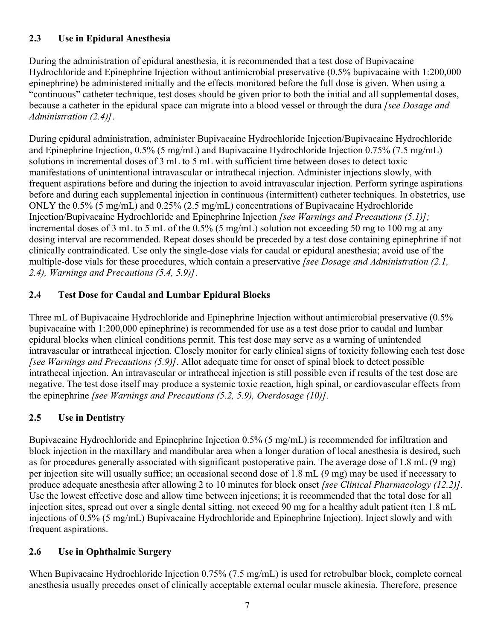## **2.3 Use in Epidural Anesthesia**

During the administration of epidural anesthesia, it is recommended that a test dose of Bupivacaine Hydrochloride and Epinephrine Injection without antimicrobial preservative (0.5% bupivacaine with 1:200,000 epinephrine) be administered initially and the effects monitored before the full dose is given. When using a "continuous" catheter technique, test doses should be given prior to both the initial and all supplemental doses, because a catheter in the epidural space can migrate into a blood vessel or through the dura *[see Dosage and Administration (2.4)]*.

During epidural administration, administer Bupivacaine Hydrochloride Injection/Bupivacaine Hydrochloride and Epinephrine Injection, 0.5% (5 mg/mL) and Bupivacaine Hydrochloride Injection 0.75% (7.5 mg/mL) solutions in incremental doses of 3 mL to 5 mL with sufficient time between doses to detect toxic manifestations of unintentional intravascular or intrathecal injection. Administer injections slowly, with frequent aspirations before and during the injection to avoid intravascular injection. Perform syringe aspirations before and during each supplemental injection in continuous (intermittent) catheter techniques. In obstetrics, use ONLY the 0.5% (5 mg/mL) and 0.25% (2.5 mg/mL) concentrations of Bupivacaine Hydrochloride Injection/Bupivacaine Hydrochloride and Epinephrine Injection *[see Warnings and Precautions (5.1)];* incremental doses of 3 mL to 5 mL of the 0.5% (5 mg/mL) solution not exceeding 50 mg to 100 mg at any dosing interval are recommended. Repeat doses should be preceded by a test dose containing epinephrine if not clinically contraindicated. Use only the single-dose vials for caudal or epidural anesthesia; avoid use of the multiple-dose vials for these procedures, which contain a preservative *[see Dosage and Administration (2.1, 2.4), Warnings and Precautions (5.4, 5.9)]*.

## **2.4 Test Dose for Caudal and Lumbar Epidural Blocks**

Three mL of Bupivacaine Hydrochloride and Epinephrine Injection without antimicrobial preservative (0.5% bupivacaine with 1:200,000 epinephrine) is recommended for use as a test dose prior to caudal and lumbar epidural blocks when clinical conditions permit. This test dose may serve as a warning of unintended intravascular or intrathecal injection. Closely monitor for early clinical signs of toxicity following each test dose *[see Warnings and Precautions (5.9)]*. Allot adequate time for onset of spinal block to detect possible intrathecal injection. An intravascular or intrathecal injection is still possible even if results of the test dose are negative. The test dose itself may produce a systemic toxic reaction, high spinal, or cardiovascular effects from the epinephrine *[see Warnings and Precautions (5.2, 5.9), Overdosage (10)].*

## **2.5 Use in Dentistry**

Bupivacaine Hydrochloride and Epinephrine Injection 0.5% (5 mg/mL) is recommended for infiltration and block injection in the maxillary and mandibular area when a longer duration of local anesthesia is desired, such as for procedures generally associated with significant postoperative pain. The average dose of 1.8 mL (9 mg) per injection site will usually suffice; an occasional second dose of 1.8 mL (9 mg) may be used if necessary to produce adequate anesthesia after allowing 2 to 10 minutes for block onset *[see Clinical Pharmacology (12.2)].* Use the lowest effective dose and allow time between injections; it is recommended that the total dose for all injection sites, spread out over a single dental sitting, not exceed 90 mg for a healthy adult patient (ten 1.8 mL injections of 0.5% (5 mg/mL) Bupivacaine Hydrochloride and Epinephrine Injection). Inject slowly and with frequent aspirations.

### **2.6 Use in Ophthalmic Surgery**

When Bupivacaine Hydrochloride Injection 0.75% (7.5 mg/mL) is used for retrobulbar block, complete corneal anesthesia usually precedes onset of clinically acceptable external ocular muscle akinesia. Therefore, presence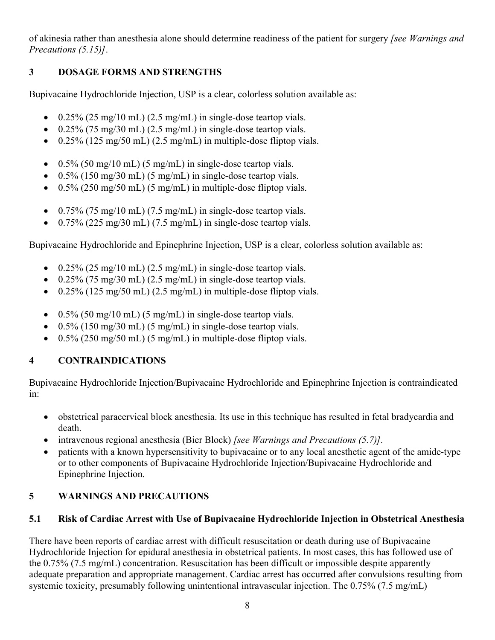of akinesia rather than anesthesia alone should determine readiness of the patient for surgery *[see Warnings and Precautions (5.15)]*.

## **3 DOSAGE FORMS AND STRENGTHS**

Bupivacaine Hydrochloride Injection, USP is a clear, colorless solution available as:

- $\cdot$  0.25% (25 mg/10 mL) (2.5 mg/mL) in single-dose teartop vials.
- $0.25\%$  (75 mg/30 mL) (2.5 mg/mL) in single-dose teartop vials.
- $\cdot$  0.25% (125 mg/50 mL) (2.5 mg/mL) in multiple-dose fliptop vials.
- $\bullet$  0.5% (50 mg/10 mL) (5 mg/mL) in single-dose teartop vials.
- $0.5\%$  (150 mg/30 mL) (5 mg/mL) in single-dose teartop vials.
- $\bullet$  0.5% (250 mg/50 mL) (5 mg/mL) in multiple-dose fliptop vials.
- $\cdot$  0.75% (75 mg/10 mL) (7.5 mg/mL) in single-dose teartop vials.
- $\cdot$  0.75% (225 mg/30 mL) (7.5 mg/mL) in single-dose teartop vials.

Bupivacaine Hydrochloride and Epinephrine Injection, USP is a clear, colorless solution available as:

- $\cdot$  0.25% (25 mg/10 mL) (2.5 mg/mL) in single-dose teartop vials.
- $0.25\%$  (75 mg/30 mL) (2.5 mg/mL) in single-dose teartop vials.
- $\cdot$  0.25% (125 mg/50 mL) (2.5 mg/mL) in multiple-dose fliptop vials.
- $\cdot$  0.5% (50 mg/10 mL) (5 mg/mL) in single-dose teartop vials.
- $\bullet$  0.5% (150 mg/30 mL) (5 mg/mL) in single-dose teartop vials.
- $\bullet$  0.5% (250 mg/50 mL) (5 mg/mL) in multiple-dose fliptop vials.

## **4 CONTRAINDICATIONS**

Bupivacaine Hydrochloride Injection/Bupivacaine Hydrochloride and Epinephrine Injection is contraindicated in:

- obstetrical paracervical block anesthesia. Its use in this technique has resulted in fetal bradycardia and death.
- intravenous regional anesthesia (Bier Block) *[see Warnings and Precautions (5.7)].*
- patients with a known hypersensitivity to bupivacaine or to any local anesthetic agent of the amide-type or to other components of Bupivacaine Hydrochloride Injection/Bupivacaine Hydrochloride and Epinephrine Injection.

## **5 WARNINGS AND PRECAUTIONS**

## **5.1 Risk of Cardiac Arrest with Use of Bupivacaine Hydrochloride Injection in Obstetrical Anesthesia**

There have been reports of cardiac arrest with difficult resuscitation or death during use of Bupivacaine Hydrochloride Injection for epidural anesthesia in obstetrical patients. In most cases, this has followed use of the 0.75% (7.5 mg/mL) concentration. Resuscitation has been difficult or impossible despite apparently adequate preparation and appropriate management. Cardiac arrest has occurred after convulsions resulting from systemic toxicity, presumably following unintentional intravascular injection. The 0.75% (7.5 mg/mL)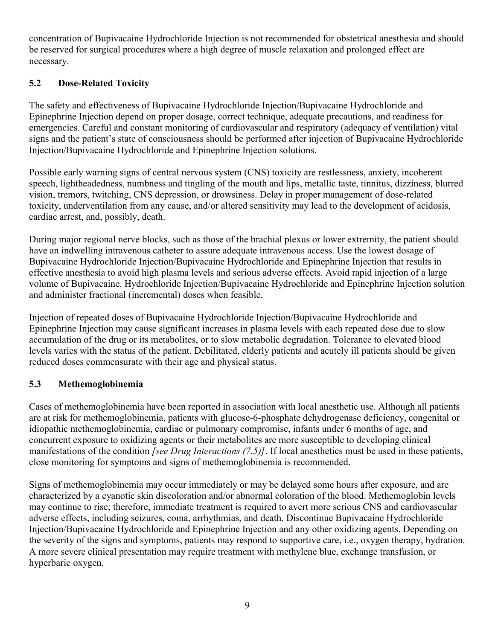concentration of Bupivacaine Hydrochloride Injection is not recommended for obstetrical anesthesia and should be reserved for surgical procedures where a high degree of muscle relaxation and prolonged effect are necessary.

## **5.2 Dose-Related Toxicity**

The safety and effectiveness of Bupivacaine Hydrochloride Injection/Bupivacaine Hydrochloride and Epinephrine Injection depend on proper dosage, correct technique, adequate precautions, and readiness for emergencies. Careful and constant monitoring of cardiovascular and respiratory (adequacy of ventilation) vital signs and the patient's state of consciousness should be performed after injection of Bupivacaine Hydrochloride Injection/Bupivacaine Hydrochloride and Epinephrine Injection solutions.

Possible early warning signs of central nervous system (CNS) toxicity are restlessness, anxiety, incoherent speech, lightheadedness, numbness and tingling of the mouth and lips, metallic taste, tinnitus, dizziness, blurred vision, tremors, twitching, CNS depression, or drowsiness. Delay in proper management of dose-related toxicity, underventilation from any cause, and/or altered sensitivity may lead to the development of acidosis, cardiac arrest, and, possibly, death.

During major regional nerve blocks, such as those of the brachial plexus or lower extremity, the patient should have an indwelling intravenous catheter to assure adequate intravenous access. Use the lowest dosage of Bupivacaine Hydrochloride Injection/Bupivacaine Hydrochloride and Epinephrine Injection that results in effective anesthesia to avoid high plasma levels and serious adverse effects. Avoid rapid injection of a large volume of Bupivacaine. Hydrochloride Injection/Bupivacaine Hydrochloride and Epinephrine Injection solution and administer fractional (incremental) doses when feasible.

Injection of repeated doses of Bupivacaine Hydrochloride Injection/Bupivacaine Hydrochloride and Epinephrine Injection may cause significant increases in plasma levels with each repeated dose due to slow accumulation of the drug or its metabolites, or to slow metabolic degradation. Tolerance to elevated blood levels varies with the status of the patient. Debilitated, elderly patients and acutely ill patients should be given reduced doses commensurate with their age and physical status.

## **5.3 Methemoglobinemia**

Cases of methemoglobinemia have been reported in association with local anesthetic use. Although all patients are at risk for methemoglobinemia, patients with glucose-6-phosphate dehydrogenase deficiency, congenital or idiopathic methemoglobinemia, cardiac or pulmonary compromise, infants under 6 months of age, and concurrent exposure to oxidizing agents or their metabolites are more susceptible to developing clinical manifestations of the condition *[see Drug Interactions (7.5)]*. If local anesthetics must be used in these patients, close monitoring for symptoms and signs of methemoglobinemia is recommended.

Signs of methemoglobinemia may occur immediately or may be delayed some hours after exposure, and are characterized by a cyanotic skin discoloration and/or abnormal coloration of the blood. Methemoglobin levels may continue to rise; therefore, immediate treatment is required to avert more serious CNS and cardiovascular adverse effects, including seizures, coma, arrhythmias, and death. Discontinue Bupivacaine Hydrochloride Injection/Bupivacaine Hydrochloride and Epinephrine Injection and any other oxidizing agents. Depending on the severity of the signs and symptoms, patients may respond to supportive care, i.e., oxygen therapy, hydration. A more severe clinical presentation may require treatment with methylene blue, exchange transfusion, or hyperbaric oxygen.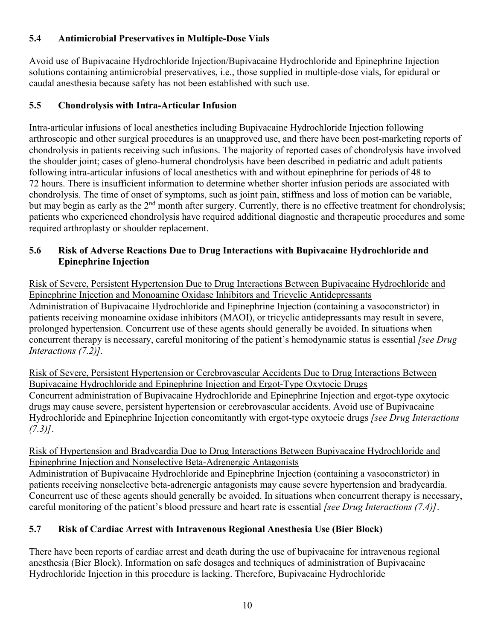## **5.4 Antimicrobial Preservatives in Multiple-Dose Vials**

Avoid use of Bupivacaine Hydrochloride Injection/Bupivacaine Hydrochloride and Epinephrine Injection solutions containing antimicrobial preservatives, i.e., those supplied in multiple-dose vials, for epidural or caudal anesthesia because safety has not been established with such use.

## **5.5 Chondrolysis with Intra-Articular Infusion**

Intra-articular infusions of local anesthetics including Bupivacaine Hydrochloride Injection following arthroscopic and other surgical procedures is an unapproved use, and there have been post-marketing reports of chondrolysis in patients receiving such infusions. The majority of reported cases of chondrolysis have involved the shoulder joint; cases of gleno-humeral chondrolysis have been described in pediatric and adult patients following intra-articular infusions of local anesthetics with and without epinephrine for periods of 48 to 72 hours. There is insufficient information to determine whether shorter infusion periods are associated with chondrolysis. The time of onset of symptoms, such as joint pain, stiffness and loss of motion can be variable, but may begin as early as the  $2<sup>nd</sup>$  month after surgery. Currently, there is no effective treatment for chondrolysis; patients who experienced chondrolysis have required additional diagnostic and therapeutic procedures and some required arthroplasty or shoulder replacement.

## **5.6 Risk of Adverse Reactions Due to Drug Interactions with Bupivacaine Hydrochloride and Epinephrine Injection**

Risk of Severe, Persistent Hypertension Due to Drug Interactions Between Bupivacaine Hydrochloride and Epinephrine Injection and Monoamine Oxidase Inhibitors and Tricyclic Antidepressants Administration of Bupivacaine Hydrochloride and Epinephrine Injection (containing a vasoconstrictor) in patients receiving monoamine oxidase inhibitors (MAOI), or tricyclic antidepressants may result in severe, prolonged hypertension. Concurrent use of these agents should generally be avoided. In situations when concurrent therapy is necessary, careful monitoring of the patient's hemodynamic status is essential *[see Drug Interactions (7.2)].*

Risk of Severe, Persistent Hypertension or Cerebrovascular Accidents Due to Drug Interactions Between Bupivacaine Hydrochloride and Epinephrine Injection and Ergot-Type Oxytocic Drugs Concurrent administration of Bupivacaine Hydrochloride and Epinephrine Injection and ergot-type oxytocic drugs may cause severe, persistent hypertension or cerebrovascular accidents. Avoid use of Bupivacaine Hydrochloride and Epinephrine Injection concomitantly with ergot-type oxytocic drugs *[see Drug Interactions (7.3)]*.

### Risk of Hypertension and Bradycardia Due to Drug Interactions Between Bupivacaine Hydrochloride and Epinephrine Injection and Nonselective Beta-Adrenergic Antagonists

Administration of Bupivacaine Hydrochloride and Epinephrine Injection (containing a vasoconstrictor) in patients receiving nonselective beta-adrenergic antagonists may cause severe hypertension and bradycardia. Concurrent use of these agents should generally be avoided. In situations when concurrent therapy is necessary, careful monitoring of the patient's blood pressure and heart rate is essential *[see Drug Interactions (7.4)]*.

## **5.7 Risk of Cardiac Arrest with Intravenous Regional Anesthesia Use (Bier Block)**

There have been reports of cardiac arrest and death during the use of bupivacaine for intravenous regional anesthesia (Bier Block). Information on safe dosages and techniques of administration of Bupivacaine Hydrochloride Injection in this procedure is lacking. Therefore, Bupivacaine Hydrochloride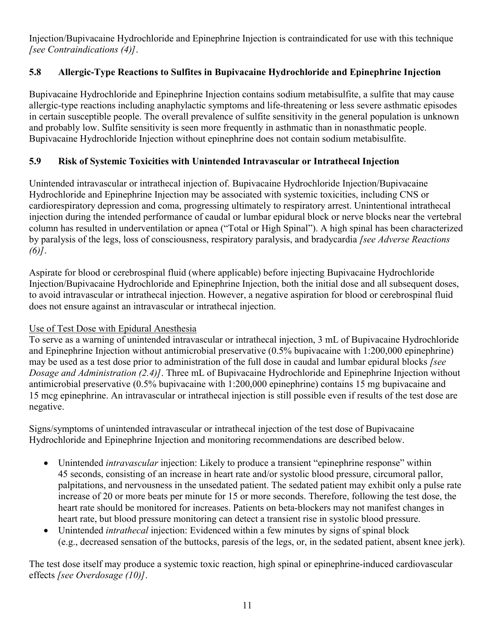Injection/Bupivacaine Hydrochloride and Epinephrine Injection is contraindicated for use with this technique *[see Contraindications (4)]*.

## **5.8 Allergic-Type Reactions to Sulfites in Bupivacaine Hydrochloride and Epinephrine Injection**

Bupivacaine Hydrochloride and Epinephrine Injection contains sodium metabisulfite, a sulfite that may cause allergic-type reactions including anaphylactic symptoms and life-threatening or less severe asthmatic episodes in certain susceptible people. The overall prevalence of sulfite sensitivity in the general population is unknown and probably low. Sulfite sensitivity is seen more frequently in asthmatic than in nonasthmatic people. Bupivacaine Hydrochloride Injection without epinephrine does not contain sodium metabisulfite.

## **5.9 Risk of Systemic Toxicities with Unintended Intravascular or Intrathecal Injection**

Unintended intravascular or intrathecal injection of. Bupivacaine Hydrochloride Injection/Bupivacaine Hydrochloride and Epinephrine Injection may be associated with systemic toxicities, including CNS or cardiorespiratory depression and coma, progressing ultimately to respiratory arrest. Unintentional intrathecal injection during the intended performance of caudal or lumbar epidural block or nerve blocks near the vertebral column has resulted in underventilation or apnea ("Total or High Spinal"). A high spinal has been characterized by paralysis of the legs, loss of consciousness, respiratory paralysis, and bradycardia *[see Adverse Reactions (6)]*.

Aspirate for blood or cerebrospinal fluid (where applicable) before injecting Bupivacaine Hydrochloride Injection/Bupivacaine Hydrochloride and Epinephrine Injection, both the initial dose and all subsequent doses, to avoid intravascular or intrathecal injection. However, a negative aspiration for blood or cerebrospinal fluid does not ensure against an intravascular or intrathecal injection.

## Use of Test Dose with Epidural Anesthesia

To serve as a warning of unintended intravascular or intrathecal injection, 3 mL of Bupivacaine Hydrochloride and Epinephrine Injection without antimicrobial preservative (0.5% bupivacaine with 1:200,000 epinephrine) may be used as a test dose prior to administration of the full dose in caudal and lumbar epidural blocks *[see Dosage and Administration (2.4)]*. Three mL of Bupivacaine Hydrochloride and Epinephrine Injection without antimicrobial preservative (0.5% bupivacaine with 1:200,000 epinephrine) contains 15 mg bupivacaine and 15 mcg epinephrine. An intravascular or intrathecal injection is still possible even if results of the test dose are negative.

Signs/symptoms of unintended intravascular or intrathecal injection of the test dose of Bupivacaine Hydrochloride and Epinephrine Injection and monitoring recommendations are described below.

- Unintended *intravascular* injection: Likely to produce a transient "epinephrine response" within 45 seconds, consisting of an increase in heart rate and/or systolic blood pressure, circumoral pallor, palpitations, and nervousness in the unsedated patient. The sedated patient may exhibit only a pulse rate increase of 20 or more beats per minute for 15 or more seconds. Therefore, following the test dose, the heart rate should be monitored for increases. Patients on beta-blockers may not manifest changes in heart rate, but blood pressure monitoring can detect a transient rise in systolic blood pressure.
- Unintended *intrathecal* injection: Evidenced within a few minutes by signs of spinal block (e.g., decreased sensation of the buttocks, paresis of the legs, or, in the sedated patient, absent knee jerk).

The test dose itself may produce a systemic toxic reaction, high spinal or epinephrine-induced cardiovascular effects *[see Overdosage (10)]*.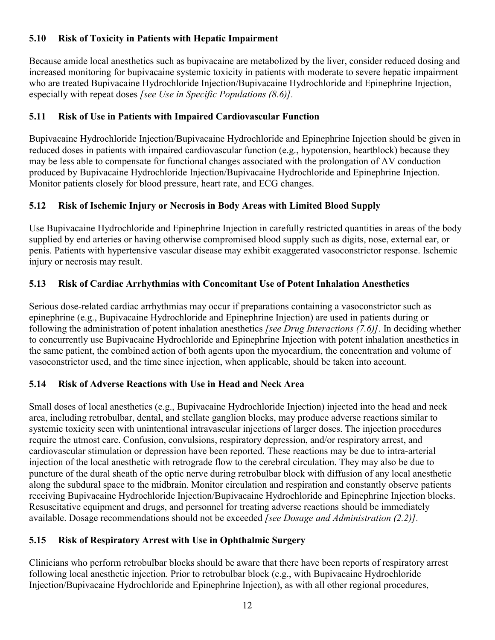## **5.10 Risk of Toxicity in Patients with Hepatic Impairment**

Because amide local anesthetics such as bupivacaine are metabolized by the liver, consider reduced dosing and increased monitoring for bupivacaine systemic toxicity in patients with moderate to severe hepatic impairment who are treated Bupivacaine Hydrochloride Injection/Bupivacaine Hydrochloride and Epinephrine Injection, especially with repeat doses *[see Use in Specific Populations (8.6)].*

## **5.11 Risk of Use in Patients with Impaired Cardiovascular Function**

Bupivacaine Hydrochloride Injection/Bupivacaine Hydrochloride and Epinephrine Injection should be given in reduced doses in patients with impaired cardiovascular function (e.g., hypotension, heartblock) because they may be less able to compensate for functional changes associated with the prolongation of AV conduction produced by Bupivacaine Hydrochloride Injection/Bupivacaine Hydrochloride and Epinephrine Injection. Monitor patients closely for blood pressure, heart rate, and ECG changes.

## **5.12 Risk of Ischemic Injury or Necrosis in Body Areas with Limited Blood Supply**

Use Bupivacaine Hydrochloride and Epinephrine Injection in carefully restricted quantities in areas of the body supplied by end arteries or having otherwise compromised blood supply such as digits, nose, external ear, or penis. Patients with hypertensive vascular disease may exhibit exaggerated vasoconstrictor response. Ischemic injury or necrosis may result.

## **5.13 Risk of Cardiac Arrhythmias with Concomitant Use of Potent Inhalation Anesthetics**

Serious dose-related cardiac arrhythmias may occur if preparations containing a vasoconstrictor such as epinephrine (e.g., Bupivacaine Hydrochloride and Epinephrine Injection) are used in patients during or following the administration of potent inhalation anesthetics *[see Drug Interactions (7.6)]*. In deciding whether to concurrently use Bupivacaine Hydrochloride and Epinephrine Injection with potent inhalation anesthetics in the same patient, the combined action of both agents upon the myocardium, the concentration and volume of vasoconstrictor used, and the time since injection, when applicable, should be taken into account.

## **5.14 Risk of Adverse Reactions with Use in Head and Neck Area**

Small doses of local anesthetics (e.g., Bupivacaine Hydrochloride Injection) injected into the head and neck area, including retrobulbar, dental, and stellate ganglion blocks, may produce adverse reactions similar to systemic toxicity seen with unintentional intravascular injections of larger doses. The injection procedures require the utmost care. Confusion, convulsions, respiratory depression, and/or respiratory arrest, and cardiovascular stimulation or depression have been reported. These reactions may be due to intra-arterial injection of the local anesthetic with retrograde flow to the cerebral circulation. They may also be due to puncture of the dural sheath of the optic nerve during retrobulbar block with diffusion of any local anesthetic along the subdural space to the midbrain. Monitor circulation and respiration and constantly observe patients receiving Bupivacaine Hydrochloride Injection/Bupivacaine Hydrochloride and Epinephrine Injection blocks. Resuscitative equipment and drugs, and personnel for treating adverse reactions should be immediately available. Dosage recommendations should not be exceeded *[see Dosage and Administration (2.2)].*

## **5.15 Risk of Respiratory Arrest with Use in Ophthalmic Surgery**

Clinicians who perform retrobulbar blocks should be aware that there have been reports of respiratory arrest following local anesthetic injection. Prior to retrobulbar block (e.g., with Bupivacaine Hydrochloride Injection/Bupivacaine Hydrochloride and Epinephrine Injection), as with all other regional procedures,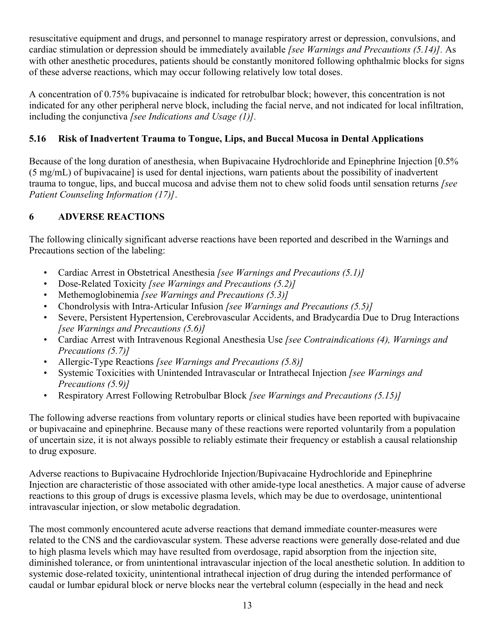resuscitative equipment and drugs, and personnel to manage respiratory arrest or depression, convulsions, and cardiac stimulation or depression should be immediately available *[see Warnings and Precautions (5.14)].* As with other anesthetic procedures, patients should be constantly monitored following ophthalmic blocks for signs of these adverse reactions, which may occur following relatively low total doses.

A concentration of 0.75% bupivacaine is indicated for retrobulbar block; however, this concentration is not indicated for any other peripheral nerve block, including the facial nerve, and not indicated for local infiltration, including the conjunctiva *[see Indications and Usage (1)].*

## **5.16 Risk of Inadvertent Trauma to Tongue, Lips, and Buccal Mucosa in Dental Applications**

Because of the long duration of anesthesia, when Bupivacaine Hydrochloride and Epinephrine Injection [0.5%] (5 mg/mL) of bupivacaine] is used for dental injections, warn patients about the possibility of inadvertent trauma to tongue, lips, and buccal mucosa and advise them not to chew solid foods until sensation returns *[see Patient Counseling Information (17)]*.

## **6 ADVERSE REACTIONS**

The following clinically significant adverse reactions have been reported and described in the Warnings and Precautions section of the labeling:

- Cardiac Arrest in Obstetrical Anesthesia *[see Warnings and Precautions (5.1)]*
- Dose-Related Toxicity *[see Warnings and Precautions (5.2)]*
- Methemoglobinemia *[see Warnings and Precautions (5.3)]*
- Chondrolysis with Intra-Articular Infusion *[see Warnings and Precautions (5.5)]*
- Severe, Persistent Hypertension, Cerebrovascular Accidents, and Bradycardia Due to Drug Interactions *[see Warnings and Precautions (5.6)]*
- Cardiac Arrest with Intravenous Regional Anesthesia Use *[see Contraindications (4), Warnings and Precautions (5.7)]*
- Allergic-Type Reactions *[see Warnings and Precautions (5.8)]*
- Systemic Toxicities with Unintended Intravascular or Intrathecal Injection *[see Warnings and Precautions (5.9)]*
- Respiratory Arrest Following Retrobulbar Block *[see Warnings and Precautions (5.15)]*

The following adverse reactions from voluntary reports or clinical studies have been reported with bupivacaine or bupivacaine and epinephrine. Because many of these reactions were reported voluntarily from a population of uncertain size, it is not always possible to reliably estimate their frequency or establish a causal relationship to drug exposure.

Adverse reactions to Bupivacaine Hydrochloride Injection/Bupivacaine Hydrochloride and Epinephrine Injection are characteristic of those associated with other amide-type local anesthetics. A major cause of adverse reactions to this group of drugs is excessive plasma levels, which may be due to overdosage, unintentional intravascular injection, or slow metabolic degradation.

The most commonly encountered acute adverse reactions that demand immediate counter-measures were related to the CNS and the cardiovascular system. These adverse reactions were generally dose-related and due to high plasma levels which may have resulted from overdosage, rapid absorption from the injection site, diminished tolerance, or from unintentional intravascular injection of the local anesthetic solution. In addition to systemic dose-related toxicity, unintentional intrathecal injection of drug during the intended performance of caudal or lumbar epidural block or nerve blocks near the vertebral column (especially in the head and neck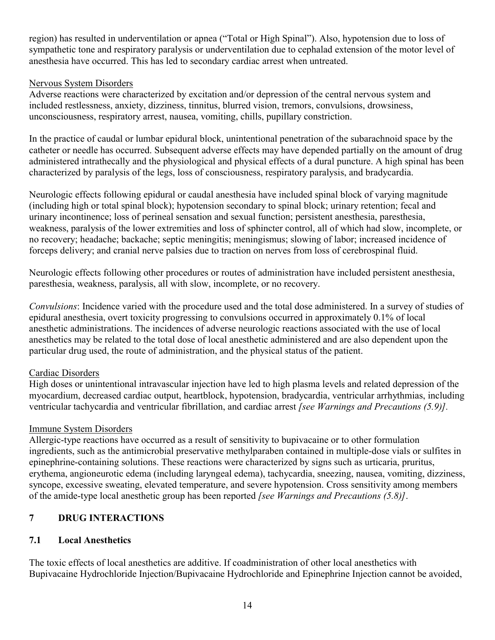region) has resulted in underventilation or apnea ("Total or High Spinal"). Also, hypotension due to loss of sympathetic tone and respiratory paralysis or underventilation due to cephalad extension of the motor level of anesthesia have occurred. This has led to secondary cardiac arrest when untreated.

#### Nervous System Disorders

Adverse reactions were characterized by excitation and/or depression of the central nervous system and included restlessness, anxiety, dizziness, tinnitus, blurred vision, tremors, convulsions, drowsiness, unconsciousness, respiratory arrest, nausea, vomiting, chills, pupillary constriction.

In the practice of caudal or lumbar epidural block, unintentional penetration of the subarachnoid space by the catheter or needle has occurred. Subsequent adverse effects may have depended partially on the amount of drug administered intrathecally and the physiological and physical effects of a dural puncture. A high spinal has been characterized by paralysis of the legs, loss of consciousness, respiratory paralysis, and bradycardia.

Neurologic effects following epidural or caudal anesthesia have included spinal block of varying magnitude (including high or total spinal block); hypotension secondary to spinal block; urinary retention; fecal and urinary incontinence; loss of perineal sensation and sexual function; persistent anesthesia, paresthesia, weakness, paralysis of the lower extremities and loss of sphincter control, all of which had slow, incomplete, or no recovery; headache; backache; septic meningitis; meningismus; slowing of labor; increased incidence of forceps delivery; and cranial nerve palsies due to traction on nerves from loss of cerebrospinal fluid.

Neurologic effects following other procedures or routes of administration have included persistent anesthesia, paresthesia, weakness, paralysis, all with slow, incomplete, or no recovery.

*Convulsions*: Incidence varied with the procedure used and the total dose administered. In a survey of studies of epidural anesthesia, overt toxicity progressing to convulsions occurred in approximately 0.1% of local anesthetic administrations. The incidences of adverse neurologic reactions associated with the use of local anesthetics may be related to the total dose of local anesthetic administered and are also dependent upon the particular drug used, the route of administration, and the physical status of the patient.

### Cardiac Disorders

High doses or unintentional intravascular injection have led to high plasma levels and related depression of the myocardium, decreased cardiac output, heartblock, hypotension, bradycardia, ventricular arrhythmias, including ventricular tachycardia and ventricular fibrillation, and cardiac arrest *[see Warnings and Precautions (5.9)].*

### Immune System Disorders

Allergic-type reactions have occurred as a result of sensitivity to bupivacaine or to other formulation ingredients, such as the antimicrobial preservative methylparaben contained in multiple-dose vials or sulfites in epinephrine-containing solutions. These reactions were characterized by signs such as urticaria, pruritus, erythema, angioneurotic edema (including laryngeal edema), tachycardia, sneezing, nausea, vomiting, dizziness, syncope, excessive sweating, elevated temperature, and severe hypotension. Cross sensitivity among members of the amide-type local anesthetic group has been reported *[see Warnings and Precautions (5.8)]*.

## **7 DRUG INTERACTIONS**

### **7.1 Local Anesthetics**

The toxic effects of local anesthetics are additive. If coadministration of other local anesthetics with Bupivacaine Hydrochloride Injection/Bupivacaine Hydrochloride and Epinephrine Injection cannot be avoided,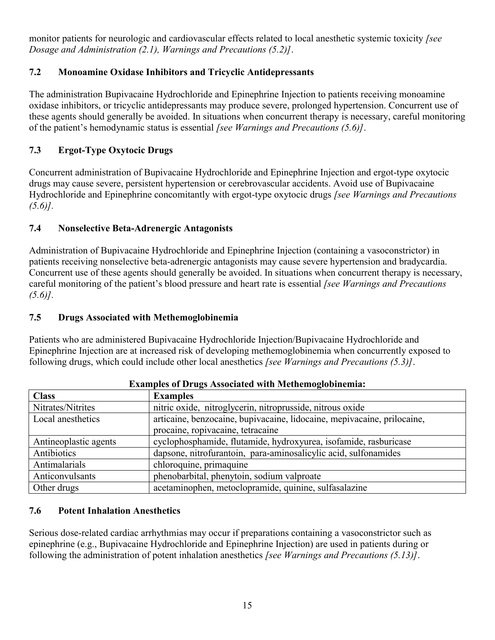monitor patients for neurologic and cardiovascular effects related to local anesthetic systemic toxicity *[see Dosage and Administration (2.1), Warnings and Precautions (5.2)]*.

## **7.2 Monoamine Oxidase Inhibitors and Tricyclic Antidepressants**

The administration Bupivacaine Hydrochloride and Epinephrine Injection to patients receiving monoamine oxidase inhibitors, or tricyclic antidepressants may produce severe, prolonged hypertension. Concurrent use of these agents should generally be avoided. In situations when concurrent therapy is necessary, careful monitoring of the patient's hemodynamic status is essential *[see Warnings and Precautions (5.6)]*.

## **7.3 Ergot-Type Oxytocic Drugs**

Concurrent administration of Bupivacaine Hydrochloride and Epinephrine Injection and ergot-type oxytocic drugs may cause severe, persistent hypertension or cerebrovascular accidents. Avoid use of Bupivacaine Hydrochloride and Epinephrine concomitantly with ergot-type oxytocic drugs *[see Warnings and Precautions (5.6)].*

## **7.4 Nonselective Beta-Adrenergic Antagonists**

Administration of Bupivacaine Hydrochloride and Epinephrine Injection (containing a vasoconstrictor) in patients receiving nonselective beta-adrenergic antagonists may cause severe hypertension and bradycardia. Concurrent use of these agents should generally be avoided. In situations when concurrent therapy is necessary, careful monitoring of the patient's blood pressure and heart rate is essential *[see Warnings and Precautions (5.6)].*

## **7.5 Drugs Associated with Methemoglobinemia**

Patients who are administered Bupivacaine Hydrochloride Injection/Bupivacaine Hydrochloride and Epinephrine Injection are at increased risk of developing methemoglobinemia when concurrently exposed to following drugs, which could include other local anesthetics *[see Warnings and Precautions (5.3)]*.

| <b>Class</b>          | <b>Examples</b>                                                         |  |
|-----------------------|-------------------------------------------------------------------------|--|
| Nitrates/Nitrites     | nitric oxide, nitroglycerin, nitroprusside, nitrous oxide               |  |
| Local anesthetics     | articaine, benzocaine, bupivacaine, lidocaine, mepivacaine, prilocaine, |  |
|                       | procaine, ropivacaine, tetracaine                                       |  |
| Antineoplastic agents | cyclophosphamide, flutamide, hydroxyurea, isofamide, rasburicase        |  |
| Antibiotics           | dapsone, nitrofurantoin, para-aminosalicylic acid, sulfonamides         |  |
| Antimalarials         | chloroquine, primaquine                                                 |  |
| Anticonvulsants       | phenobarbital, phenytoin, sodium valproate                              |  |
| Other drugs           | acetaminophen, metoclopramide, quinine, sulfasalazine                   |  |

### **Examples of Drugs Associated with Methemoglobinemia:**

### **7.6 Potent Inhalation Anesthetics**

Serious dose-related cardiac arrhythmias may occur if preparations containing a vasoconstrictor such as epinephrine (e.g., Bupivacaine Hydrochloride and Epinephrine Injection) are used in patients during or following the administration of potent inhalation anesthetics *[see Warnings and Precautions (5.13)]*.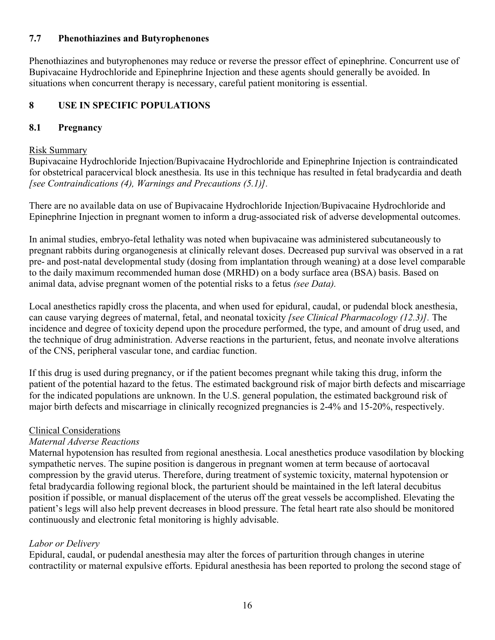#### **7.7 Phenothiazines and Butyrophenones**

Phenothiazines and butyrophenones may reduce or reverse the pressor effect of epinephrine. Concurrent use of Bupivacaine Hydrochloride and Epinephrine Injection and these agents should generally be avoided. In situations when concurrent therapy is necessary, careful patient monitoring is essential.

### **8 USE IN SPECIFIC POPULATIONS**

#### **8.1 Pregnancy**

#### Risk Summary

Bupivacaine Hydrochloride Injection/Bupivacaine Hydrochloride and Epinephrine Injection is contraindicated for obstetrical paracervical block anesthesia. Its use in this technique has resulted in fetal bradycardia and death *[see Contraindications (4), Warnings and Precautions (5.1)].*

There are no available data on use of Bupivacaine Hydrochloride Injection/Bupivacaine Hydrochloride and Epinephrine Injection in pregnant women to inform a drug-associated risk of adverse developmental outcomes.

In animal studies, embryo-fetal lethality was noted when bupivacaine was administered subcutaneously to pregnant rabbits during organogenesis at clinically relevant doses. Decreased pup survival was observed in a rat pre- and post-natal developmental study (dosing from implantation through weaning) at a dose level comparable to the daily maximum recommended human dose (MRHD) on a body surface area (BSA) basis. Based on animal data, advise pregnant women of the potential risks to a fetus *(see Data).*

Local anesthetics rapidly cross the placenta, and when used for epidural, caudal, or pudendal block anesthesia, can cause varying degrees of maternal, fetal, and neonatal toxicity *[see Clinical Pharmacology (12.3)].* The incidence and degree of toxicity depend upon the procedure performed, the type, and amount of drug used, and the technique of drug administration. Adverse reactions in the parturient, fetus, and neonate involve alterations of the CNS, peripheral vascular tone, and cardiac function.

If this drug is used during pregnancy, or if the patient becomes pregnant while taking this drug, inform the patient of the potential hazard to the fetus. The estimated background risk of major birth defects and miscarriage for the indicated populations are unknown. In the U.S. general population, the estimated background risk of major birth defects and miscarriage in clinically recognized pregnancies is 2-4% and 15-20%, respectively.

#### Clinical Considerations

#### *Maternal Adverse Reactions*

Maternal hypotension has resulted from regional anesthesia. Local anesthetics produce vasodilation by blocking sympathetic nerves. The supine position is dangerous in pregnant women at term because of aortocaval compression by the gravid uterus. Therefore, during treatment of systemic toxicity, maternal hypotension or fetal bradycardia following regional block, the parturient should be maintained in the left lateral decubitus position if possible, or manual displacement of the uterus off the great vessels be accomplished. Elevating the patient's legs will also help prevent decreases in blood pressure. The fetal heart rate also should be monitored continuously and electronic fetal monitoring is highly advisable.

### *Labor or Delivery*

Epidural, caudal, or pudendal anesthesia may alter the forces of parturition through changes in uterine contractility or maternal expulsive efforts. Epidural anesthesia has been reported to prolong the second stage of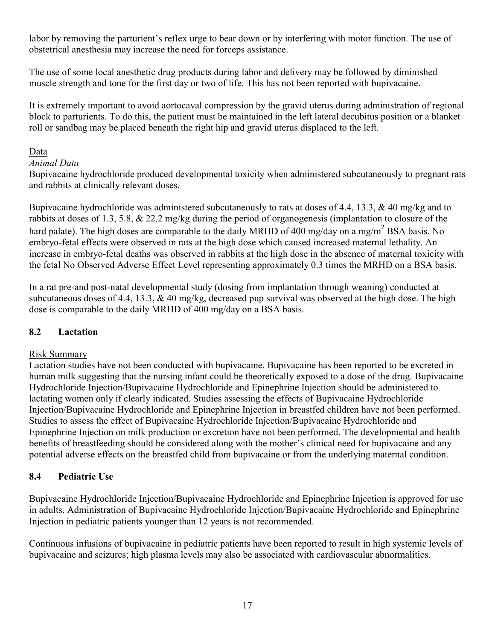labor by removing the parturient's reflex urge to bear down or by interfering with motor function. The use of obstetrical anesthesia may increase the need for forceps assistance.

The use of some local anesthetic drug products during labor and delivery may be followed by diminished muscle strength and tone for the first day or two of life. This has not been reported with bupivacaine.

It is extremely important to avoid aortocaval compression by the gravid uterus during administration of regional block to parturients. To do this, the patient must be maintained in the left lateral decubitus position or a blanket roll or sandbag may be placed beneath the right hip and gravid uterus displaced to the left.

#### Data

#### *Animal Data*

Bupivacaine hydrochloride produced developmental toxicity when administered subcutaneously to pregnant rats and rabbits at clinically relevant doses.

Bupivacaine hydrochloride was administered subcutaneously to rats at doses of 4.4, 13.3, & 40 mg/kg and to rabbits at doses of 1.3, 5.8, & 22.2 mg/kg during the period of organogenesis (implantation to closure of the hard palate). The high doses are comparable to the daily MRHD of 400 mg/day on a mg/m<sup>2</sup> BSA basis. No embryo-fetal effects were observed in rats at the high dose which caused increased maternal lethality. An increase in embryo-fetal deaths was observed in rabbits at the high dose in the absence of maternal toxicity with the fetal No Observed Adverse Effect Level representing approximately 0.3 times the MRHD on a BSA basis.

In a rat pre-and post-natal developmental study (dosing from implantation through weaning) conducted at subcutaneous doses of 4.4, 13.3, & 40 mg/kg, decreased pup survival was observed at the high dose. The high dose is comparable to the daily MRHD of 400 mg/day on a BSA basis.

### **8.2 Lactation**

#### Risk Summary

Lactation studies have not been conducted with bupivacaine. Bupivacaine has been reported to be excreted in human milk suggesting that the nursing infant could be theoretically exposed to a dose of the drug. Bupivacaine Hydrochloride Injection/Bupivacaine Hydrochloride and Epinephrine Injection should be administered to lactating women only if clearly indicated. Studies assessing the effects of Bupivacaine Hydrochloride Injection/Bupivacaine Hydrochloride and Epinephrine Injection in breastfed children have not been performed. Studies to assess the effect of Bupivacaine Hydrochloride Injection/Bupivacaine Hydrochloride and Epinephrine Injection on milk production or excretion have not been performed. The developmental and health benefits of breastfeeding should be considered along with the mother's clinical need for bupivacaine and any potential adverse effects on the breastfed child from bupivacaine or from the underlying maternal condition.

### **8.4 Pediatric Use**

Bupivacaine Hydrochloride Injection/Bupivacaine Hydrochloride and Epinephrine Injection is approved for use in adults. Administration of Bupivacaine Hydrochloride Injection/Bupivacaine Hydrochloride and Epinephrine Injection in pediatric patients younger than 12 years is not recommended.

Continuous infusions of bupivacaine in pediatric patients have been reported to result in high systemic levels of bupivacaine and seizures; high plasma levels may also be associated with cardiovascular abnormalities.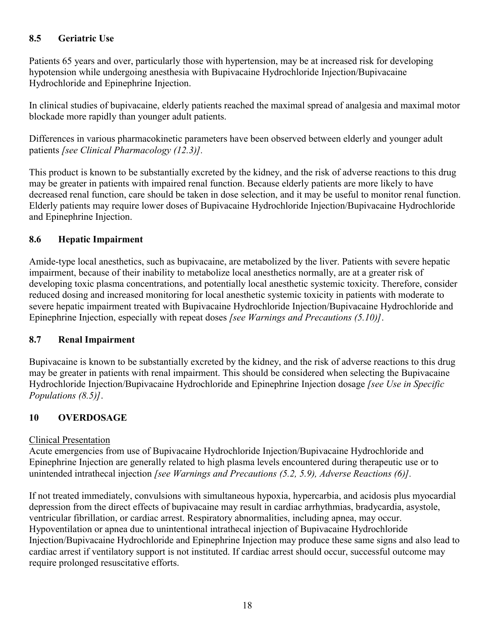## **8.5 Geriatric Use**

Patients 65 years and over, particularly those with hypertension, may be at increased risk for developing hypotension while undergoing anesthesia with Bupivacaine Hydrochloride Injection/Bupivacaine Hydrochloride and Epinephrine Injection.

In clinical studies of bupivacaine, elderly patients reached the maximal spread of analgesia and maximal motor blockade more rapidly than younger adult patients.

Differences in various pharmacokinetic parameters have been observed between elderly and younger adult patients *[see Clinical Pharmacology (12.3)].*

This product is known to be substantially excreted by the kidney, and the risk of adverse reactions to this drug may be greater in patients with impaired renal function. Because elderly patients are more likely to have decreased renal function, care should be taken in dose selection, and it may be useful to monitor renal function. Elderly patients may require lower doses of Bupivacaine Hydrochloride Injection/Bupivacaine Hydrochloride and Epinephrine Injection.

### **8.6 Hepatic Impairment**

Amide-type local anesthetics, such as bupivacaine, are metabolized by the liver. Patients with severe hepatic impairment, because of their inability to metabolize local anesthetics normally, are at a greater risk of developing toxic plasma concentrations, and potentially local anesthetic systemic toxicity. Therefore, consider reduced dosing and increased monitoring for local anesthetic systemic toxicity in patients with moderate to severe hepatic impairment treated with Bupivacaine Hydrochloride Injection/Bupivacaine Hydrochloride and Epinephrine Injection, especially with repeat doses *[see Warnings and Precautions (5.10)]*.

### **8.7 Renal Impairment**

Bupivacaine is known to be substantially excreted by the kidney, and the risk of adverse reactions to this drug may be greater in patients with renal impairment. This should be considered when selecting the Bupivacaine Hydrochloride Injection/Bupivacaine Hydrochloride and Epinephrine Injection dosage *[see Use in Specific Populations (8.5)]*.

## **10 OVERDOSAGE**

### Clinical Presentation

Acute emergencies from use of Bupivacaine Hydrochloride Injection/Bupivacaine Hydrochloride and Epinephrine Injection are generally related to high plasma levels encountered during therapeutic use or to unintended intrathecal injection *[see Warnings and Precautions (5.2, 5.9), Adverse Reactions (6)].*

If not treated immediately, convulsions with simultaneous hypoxia, hypercarbia, and acidosis plus myocardial depression from the direct effects of bupivacaine may result in cardiac arrhythmias, bradycardia, asystole, ventricular fibrillation, or cardiac arrest. Respiratory abnormalities, including apnea, may occur. Hypoventilation or apnea due to unintentional intrathecal injection of Bupivacaine Hydrochloride Injection/Bupivacaine Hydrochloride and Epinephrine Injection may produce these same signs and also lead to cardiac arrest if ventilatory support is not instituted. If cardiac arrest should occur, successful outcome may require prolonged resuscitative efforts.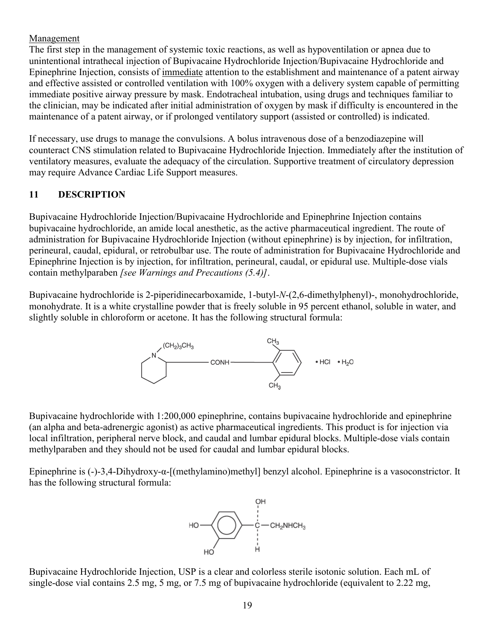### Management

The first step in the management of systemic toxic reactions, as well as hypoventilation or apnea due to unintentional intrathecal injection of Bupivacaine Hydrochloride Injection/Bupivacaine Hydrochloride and Epinephrine Injection, consists of immediate attention to the establishment and maintenance of a patent airway and effective assisted or controlled ventilation with 100% oxygen with a delivery system capable of permitting immediate positive airway pressure by mask. Endotracheal intubation, using drugs and techniques familiar to the clinician, may be indicated after initial administration of oxygen by mask if difficulty is encountered in the maintenance of a patent airway, or if prolonged ventilatory support (assisted or controlled) is indicated.

If necessary, use drugs to manage the convulsions. A bolus intravenous dose of a benzodiazepine will counteract CNS stimulation related to Bupivacaine Hydrochloride Injection. Immediately after the institution of ventilatory measures, evaluate the adequacy of the circulation. Supportive treatment of circulatory depression may require Advance Cardiac Life Support measures.

## **11 DESCRIPTION**

Bupivacaine Hydrochloride Injection/Bupivacaine Hydrochloride and Epinephrine Injection contains bupivacaine hydrochloride, an amide local anesthetic, as the active pharmaceutical ingredient. The route of administration for Bupivacaine Hydrochloride Injection (without epinephrine) is by injection, for infiltration, perineural, caudal, epidural, or retrobulbar use. The route of administration for Bupivacaine Hydrochloride and Epinephrine Injection is by injection, for infiltration, perineural, caudal, or epidural use. Multiple-dose vials contain methylparaben *[see Warnings and Precautions (5.4)]*.

Bupivacaine hydrochloride is 2-piperidinecarboxamide, 1-butyl-*N*-(2,6-dimethylphenyl)-, monohydrochloride, monohydrate. It is a white crystalline powder that is freely soluble in 95 percent ethanol, soluble in water, and slightly soluble in chloroform or acetone. It has the following structural formula:



Bupivacaine hydrochloride with 1:200,000 epinephrine, contains bupivacaine hydrochloride and epinephrine (an alpha and beta-adrenergic agonist) as active pharmaceutical ingredients. This product is for injection via local infiltration, peripheral nerve block, and caudal and lumbar epidural blocks. Multiple-dose vials contain methylparaben and they should not be used for caudal and lumbar epidural blocks.

Epinephrine is (-)-3,4-Dihydroxy-α-[(methylamino)methyl] benzyl alcohol. Epinephrine is a vasoconstrictor. It has the following structural formula:



Bupivacaine Hydrochloride Injection, USP is a clear and colorless sterile isotonic solution. Each mL of single-dose vial contains 2.5 mg, 5 mg, or 7.5 mg of bupivacaine hydrochloride (equivalent to 2.22 mg,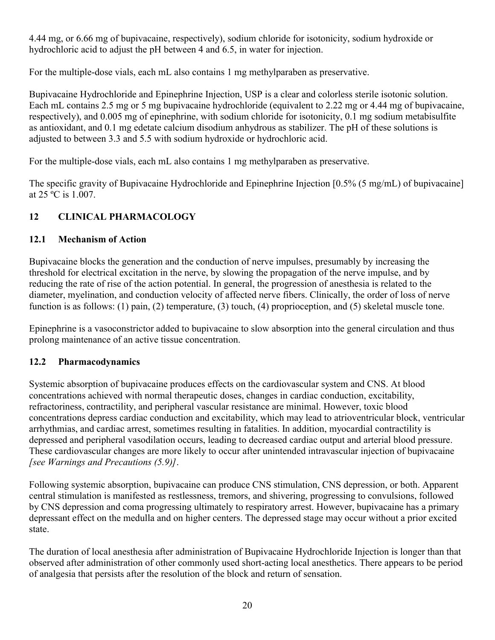4.44 mg, or 6.66 mg of bupivacaine, respectively), sodium chloride for isotonicity, sodium hydroxide or hydrochloric acid to adjust the pH between 4 and 6.5, in water for injection.

For the multiple-dose vials, each mL also contains 1 mg methylparaben as preservative.

Bupivacaine Hydrochloride and Epinephrine Injection, USP is a clear and colorless sterile isotonic solution. Each mL contains 2.5 mg or 5 mg bupivacaine hydrochloride (equivalent to 2.22 mg or 4.44 mg of bupivacaine, respectively), and 0.005 mg of epinephrine, with sodium chloride for isotonicity, 0.1 mg sodium metabisulfite as antioxidant, and 0.1 mg edetate calcium disodium anhydrous as stabilizer. The pH of these solutions is adjusted to between 3.3 and 5.5 with sodium hydroxide or hydrochloric acid.

For the multiple-dose vials, each mL also contains 1 mg methylparaben as preservative.

The specific gravity of Bupivacaine Hydrochloride and Epinephrine Injection [0.5% (5 mg/mL) of bupivacaine] at 25 ºC is 1.007.

## **12 CLINICAL PHARMACOLOGY**

## **12.1 Mechanism of Action**

Bupivacaine blocks the generation and the conduction of nerve impulses, presumably by increasing the threshold for electrical excitation in the nerve, by slowing the propagation of the nerve impulse, and by reducing the rate of rise of the action potential. In general, the progression of anesthesia is related to the diameter, myelination, and conduction velocity of affected nerve fibers. Clinically, the order of loss of nerve function is as follows: (1) pain, (2) temperature, (3) touch, (4) proprioception, and (5) skeletal muscle tone.

Epinephrine is a vasoconstrictor added to bupivacaine to slow absorption into the general circulation and thus prolong maintenance of an active tissue concentration.

## **12.2 Pharmacodynamics**

Systemic absorption of bupivacaine produces effects on the cardiovascular system and CNS. At blood concentrations achieved with normal therapeutic doses, changes in cardiac conduction, excitability, refractoriness, contractility, and peripheral vascular resistance are minimal. However, toxic blood concentrations depress cardiac conduction and excitability, which may lead to atrioventricular block, ventricular arrhythmias, and cardiac arrest, sometimes resulting in fatalities. In addition, myocardial contractility is depressed and peripheral vasodilation occurs, leading to decreased cardiac output and arterial blood pressure. These cardiovascular changes are more likely to occur after unintended intravascular injection of bupivacaine *[see Warnings and Precautions (5.9)]*.

Following systemic absorption, bupivacaine can produce CNS stimulation, CNS depression, or both. Apparent central stimulation is manifested as restlessness, tremors, and shivering, progressing to convulsions, followed by CNS depression and coma progressing ultimately to respiratory arrest. However, bupivacaine has a primary depressant effect on the medulla and on higher centers. The depressed stage may occur without a prior excited state.

The duration of local anesthesia after administration of Bupivacaine Hydrochloride Injection is longer than that observed after administration of other commonly used short-acting local anesthetics. There appears to be period of analgesia that persists after the resolution of the block and return of sensation.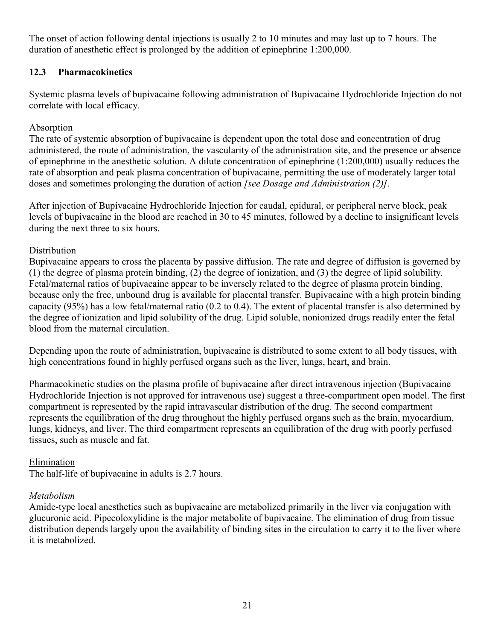The onset of action following dental injections is usually 2 to 10 minutes and may last up to 7 hours. The duration of anesthetic effect is prolonged by the addition of epinephrine 1:200,000.

## **12.3 Pharmacokinetics**

Systemic plasma levels of bupivacaine following administration of Bupivacaine Hydrochloride Injection do not correlate with local efficacy.

#### **Absorption**

The rate of systemic absorption of bupivacaine is dependent upon the total dose and concentration of drug administered, the route of administration, the vascularity of the administration site, and the presence or absence of epinephrine in the anesthetic solution. A dilute concentration of epinephrine (1:200,000) usually reduces the rate of absorption and peak plasma concentration of bupivacaine, permitting the use of moderately larger total doses and sometimes prolonging the duration of action *[see Dosage and Administration (2)]*.

After injection of Bupivacaine Hydrochloride Injection for caudal, epidural, or peripheral nerve block, peak levels of bupivacaine in the blood are reached in 30 to 45 minutes, followed by a decline to insignificant levels during the next three to six hours.

### **Distribution**

Bupivacaine appears to cross the placenta by passive diffusion. The rate and degree of diffusion is governed by (1) the degree of plasma protein binding, (2) the degree of ionization, and (3) the degree of lipid solubility. Fetal/maternal ratios of bupivacaine appear to be inversely related to the degree of plasma protein binding, because only the free, unbound drug is available for placental transfer. Bupivacaine with a high protein binding capacity (95%) has a low fetal/maternal ratio (0.2 to 0.4). The extent of placental transfer is also determined by the degree of ionization and lipid solubility of the drug. Lipid soluble, nonionized drugs readily enter the fetal blood from the maternal circulation.

Depending upon the route of administration, bupivacaine is distributed to some extent to all body tissues, with high concentrations found in highly perfused organs such as the liver, lungs, heart, and brain.

Pharmacokinetic studies on the plasma profile of bupivacaine after direct intravenous injection (Bupivacaine Hydrochloride Injection is not approved for intravenous use) suggest a three-compartment open model. The first compartment is represented by the rapid intravascular distribution of the drug. The second compartment represents the equilibration of the drug throughout the highly perfused organs such as the brain, myocardium, lungs, kidneys, and liver. The third compartment represents an equilibration of the drug with poorly perfused tissues, such as muscle and fat.

### Elimination

The half-life of bupivacaine in adults is 2.7 hours.

### *Metabolism*

Amide-type local anesthetics such as bupivacaine are metabolized primarily in the liver via conjugation with glucuronic acid. Pipecoloxylidine is the major metabolite of bupivacaine. The elimination of drug from tissue distribution depends largely upon the availability of binding sites in the circulation to carry it to the liver where it is metabolized.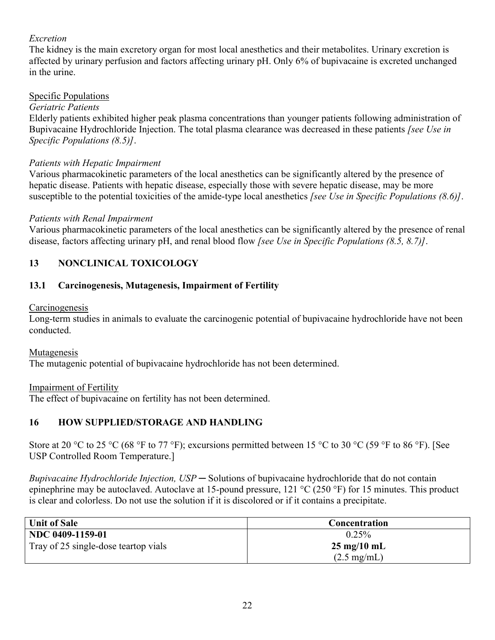## *Excretion*

The kidney is the main excretory organ for most local anesthetics and their metabolites. Urinary excretion is affected by urinary perfusion and factors affecting urinary pH. Only 6% of bupivacaine is excreted unchanged in the urine.

## Specific Populations

### *Geriatric Patients*

Elderly patients exhibited higher peak plasma concentrations than younger patients following administration of Bupivacaine Hydrochloride Injection. The total plasma clearance was decreased in these patients *[see Use in Specific Populations (8.5)]*.

### *Patients with Hepatic Impairment*

Various pharmacokinetic parameters of the local anesthetics can be significantly altered by the presence of hepatic disease. Patients with hepatic disease, especially those with severe hepatic disease, may be more susceptible to the potential toxicities of the amide-type local anesthetics *[see Use in Specific Populations (8.6)]*.

### *Patients with Renal Impairment*

Various pharmacokinetic parameters of the local anesthetics can be significantly altered by the presence of renal disease, factors affecting urinary pH, and renal blood flow *[see Use in Specific Populations (8.5, 8.7)]*.

## **13 NONCLINICAL TOXICOLOGY**

## **13.1 Carcinogenesis, Mutagenesis, Impairment of Fertility**

#### **Carcinogenesis**

Long-term studies in animals to evaluate the carcinogenic potential of bupivacaine hydrochloride have not been conducted.

### Mutagenesis

The mutagenic potential of bupivacaine hydrochloride has not been determined.

### Impairment of Fertility

The effect of bupivacaine on fertility has not been determined.

## **16 HOW SUPPLIED/STORAGE AND HANDLING**

Store at 20 °C to 25 °C (68 °F to 77 °F); excursions permitted between 15 °C to 30 °C (59 °F to 86 °F). [See USP Controlled Room Temperature.]

*Bupivacaine Hydrochloride Injection, USP* ─ Solutions of bupivacaine hydrochloride that do not contain epinephrine may be autoclaved. Autoclave at 15-pound pressure, 121 °C (250 °F) for 15 minutes. This product is clear and colorless. Do not use the solution if it is discolored or if it contains a precipitate.

| <b>Unit of Sale</b>                  | <b>Concentration</b>          |
|--------------------------------------|-------------------------------|
| NDC 0409-1159-01                     | 0.25%                         |
| Tray of 25 single-dose teartop vials | $25 \text{ mg}/10 \text{ mL}$ |
|                                      | $(2.5 \text{ mg/mL})$         |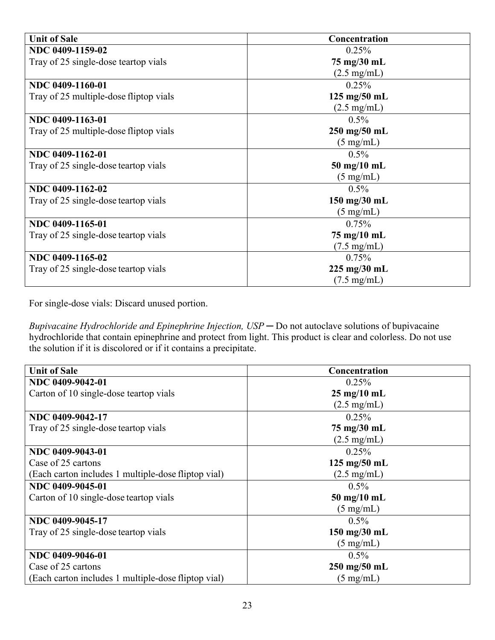| <b>Unit of Sale</b>                    | Concentration                  |
|----------------------------------------|--------------------------------|
| NDC 0409-1159-02                       | 0.25%                          |
| Tray of 25 single-dose teartop vials   | 75 mg/30 mL                    |
|                                        | $(2.5 \text{ mg/mL})$          |
| NDC 0409-1160-01                       | 0.25%                          |
| Tray of 25 multiple-dose fliptop vials | $125 \text{ mg}/50 \text{ mL}$ |
|                                        | $(2.5 \text{ mg/mL})$          |
| NDC 0409-1163-01                       | $0.5\%$                        |
| Tray of 25 multiple-dose fliptop vials | $250$ mg/50 mL                 |
|                                        | $(5 \text{ mg/mL})$            |
| NDC 0409-1162-01                       | $0.5\%$                        |
| Tray of 25 single-dose teartop vials   | $50 \text{ mg}/10 \text{ mL}$  |
|                                        | $(5 \text{ mg/mL})$            |
| NDC 0409-1162-02                       | $0.5\%$                        |
| Tray of 25 single-dose teartop vials   | 150 mg/30 mL                   |
|                                        | $(5 \text{ mg/mL})$            |
| NDC 0409-1165-01                       | 0.75%                          |
| Tray of 25 single-dose teartop vials   | 75 mg/10 mL                    |
|                                        | $(7.5 \text{ mg/mL})$          |
| NDC 0409-1165-02                       | 0.75%                          |
| Tray of 25 single-dose teartop vials   | $225 \text{ mg}/30 \text{ mL}$ |
|                                        | $(7.5 \text{ mg/mL})$          |

For single-dose vials: Discard unused portion.

*Bupivacaine Hydrochloride and Epinephrine Injection, USP* ─ Do not autoclave solutions of bupivacaine hydrochloride that contain epinephrine and protect from light. This product is clear and colorless. Do not use the solution if it is discolored or if it contains a precipitate.

| <b>Unit of Sale</b>                                 | Concentration                  |
|-----------------------------------------------------|--------------------------------|
| NDC 0409-9042-01                                    | $0.25\%$                       |
| Carton of 10 single-dose teartop vials              | $25 \text{ mg}/10 \text{ mL}$  |
|                                                     | $(2.5 \text{ mg/mL})$          |
| NDC 0409-9042-17                                    | 0.25%                          |
| Tray of 25 single-dose teartop vials                | 75 mg/30 mL                    |
|                                                     | $(2.5 \text{ mg/mL})$          |
| NDC 0409-9043-01                                    | $0.25\%$                       |
| Case of 25 cartons                                  | $125$ mg/ $50$ mL              |
| (Each carton includes 1 multiple-dose fliptop vial) | $(2.5 \text{ mg/mL})$          |
| NDC 0409-9045-01                                    | $0.5\%$                        |
| Carton of 10 single-dose teartop vials              | $50$ mg/10 mL                  |
|                                                     | $(5 \text{ mg/mL})$            |
| NDC 0409-9045-17                                    | $0.5\%$                        |
| Tray of 25 single-dose teartop vials                | 150 mg/30 mL                   |
|                                                     | $(5 \text{ mg/mL})$            |
| NDC 0409-9046-01                                    | $0.5\%$                        |
| Case of 25 cartons                                  | $250 \text{ mg}/50 \text{ mL}$ |
| (Each carton includes 1 multiple-dose fliptop vial) | $(5 \text{ mg/mL})$            |